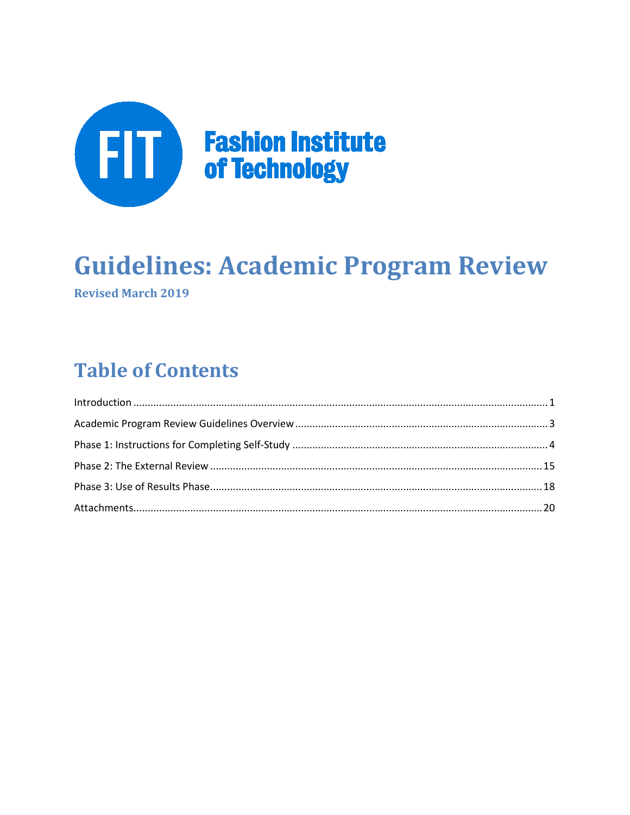

# **Guidelines: Academic Program Review Revised March 2019**

# **Table of Contents**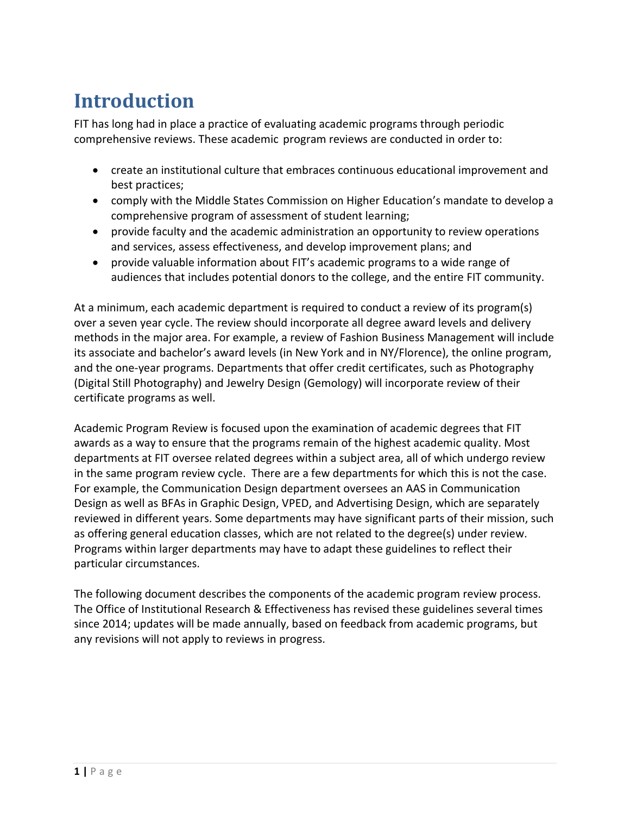# **Introduction**

FIT has long had in place a practice of evaluating academic programs through periodic comprehensive reviews. These academic program reviews are conducted in order to:

- create an institutional culture that embraces continuous educational improvement and best practices;
- comply with the Middle States Commission on Higher Education's mandate to develop a comprehensive program of assessment of student learning;
- provide faculty and the academic administration an opportunity to review operations and services, assess effectiveness, and develop improvement plans; and
- provide valuable information about FIT's academic programs to a wide range of audiences that includes potential donors to the college, and the entire FIT community.

At a minimum, each academic department is required to conduct a review of its program(s) over a seven year cycle. The review should incorporate all degree award levels and delivery methods in the major area. For example, a review of Fashion Business Management will include its associate and bachelor's award levels (in New York and in NY/Florence), the online program, and the one-year programs. Departments that offer credit certificates, such as Photography (Digital Still Photography) and Jewelry Design (Gemology) will incorporate review of their certificate programs as well.

Academic Program Review is focused upon the examination of academic degrees that FIT awards as a way to ensure that the programs remain of the highest academic quality. Most departments at FIT oversee related degrees within a subject area, all of which undergo review in the same program review cycle. There are a few departments for which this is not the case. For example, the Communication Design department oversees an AAS in Communication Design as well as BFAs in Graphic Design, VPED, and Advertising Design, which are separately reviewed in different years. Some departments may have significant parts of their mission, such as offering general education classes, which are not related to the degree(s) under review. Programs within larger departments may have to adapt these guidelines to reflect their particular circumstances.

The following document describes the components of the academic program review process. The Office of Institutional Research & Effectiveness has revised these guidelines several times since 2014; updates will be made annually, based on feedback from academic programs, but any revisions will not apply to reviews in progress.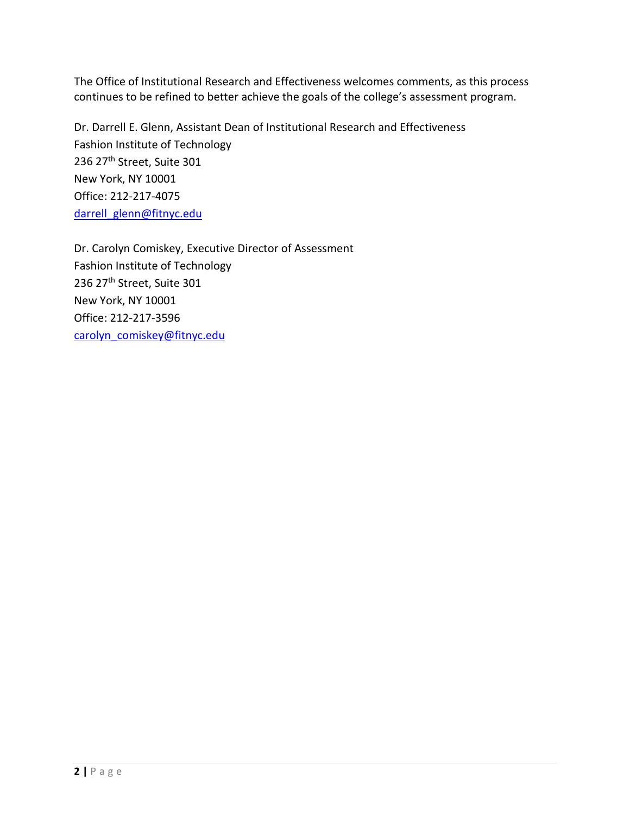The Office of Institutional Research and Effectiveness welcomes comments, as this process continues to be refined to better achieve the goals of the college's assessment program.

Dr. Darrell E. Glenn, Assistant Dean of Institutional Research and Effectiveness Fashion Institute of Technology 236 27th Street, Suite 301 New York, NY 10001 Office: 212-217-4075 [darrell\\_glenn@fitnyc.edu](mailto:darrell_glenn@fitnyc.edu)

Dr. Carolyn Comiskey, Executive Director of Assessment Fashion Institute of Technology 236 27<sup>th</sup> Street, Suite 301 New York, NY 10001 Office: 212-217-3596 [carolyn\\_comiskey@fitnyc.edu](mailto:carolyn_comiskey@fitnyc.edu)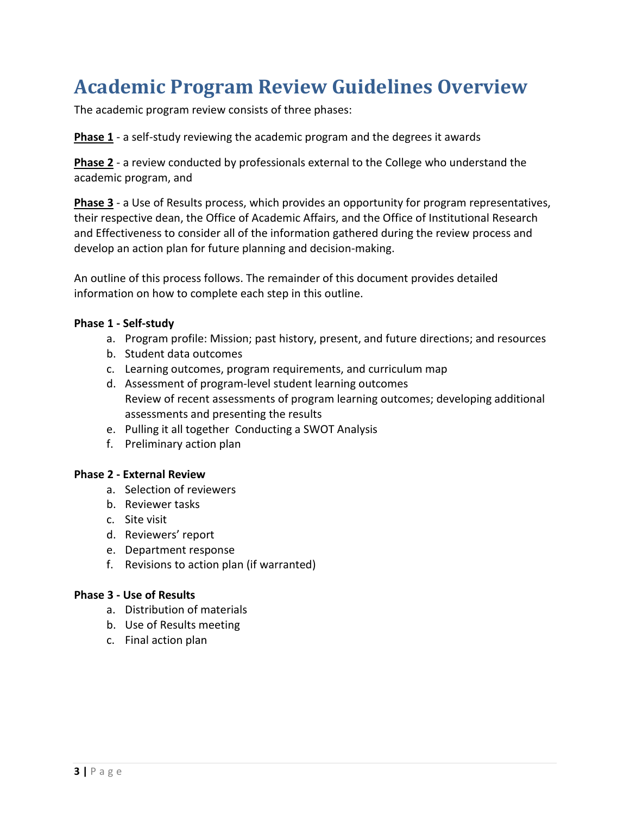# **Academic Program Review Guidelines Overview**

The academic program review consists of three phases:

**Phase 1** - a self-study reviewing the academic program and the degrees it awards

**Phase 2** - a review conducted by professionals external to the College who understand the academic program, and

**Phase 3** - a Use of Results process, which provides an opportunity for program representatives, their respective dean, the Office of Academic Affairs, and the Office of Institutional Research and Effectiveness to consider all of the information gathered during the review process and develop an action plan for future planning and decision-making.

An outline of this process follows. The remainder of this document provides detailed information on how to complete each step in this outline.

#### **Phase 1 - Self-study**

- a. Program profile: Mission; past history, present, and future directions; and resources
- b. Student data outcomes
- c. Learning outcomes, program requirements, and curriculum map
- d. Assessment of program-level student learning outcomes Review of recent assessments of program learning outcomes; developing additional assessments and presenting the results
- e. Pulling it all together Conducting a SWOT Analysis
- f. Preliminary action plan

#### **Phase 2 - External Review**

- a. Selection of reviewers
- b. Reviewer tasks
- c. Site visit
- d. Reviewers' report
- e. Department response
- f. Revisions to action plan (if warranted)

#### **Phase 3 - Use of Results**

- a. Distribution of materials
- b. Use of Results meeting
- c. Final action plan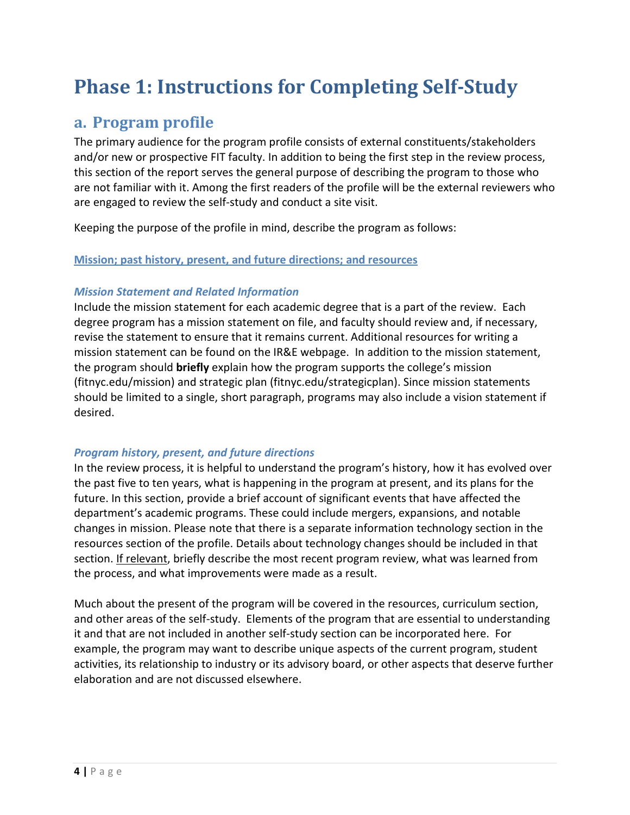# **Phase 1: Instructions for Completing Self-Study**

## **a. Program profile**

The primary audience for the program profile consists of external constituents/stakeholders and/or new or prospective FIT faculty. In addition to being the first step in the review process, this section of the report serves the general purpose of describing the program to those who are not familiar with it. Among the first readers of the profile will be the external reviewers who are engaged to review the self-study and conduct a site visit.

Keeping the purpose of the profile in mind, describe the program as follows:

#### **Mission; past history, present, and future directions; and resources**

#### *Mission Statement and Related Information*

Include the mission statement for each academic degree that is a part of the review. Each degree program has a mission statement on file, and faculty should review and, if necessary, revise the statement to ensure that it remains current. Additional resources for writing a mission statement can be found on the IR&E webpage. In addition to the mission statement, the program should **briefly** explain how the program supports the college's mission (fitnyc.edu/mission) and strategic plan (fitnyc.edu/strategicplan). Since mission statements should be limited to a single, short paragraph, programs may also include a vision statement if desired.

#### *Program history, present, and future directions*

In the review process, it is helpful to understand the program's history, how it has evolved over the past five to ten years, what is happening in the program at present, and its plans for the future. In this section, provide a brief account of significant events that have affected the department's academic programs. These could include mergers, expansions, and notable changes in mission. Please note that there is a separate information technology section in the resources section of the profile. Details about technology changes should be included in that section. If relevant, briefly describe the most recent program review, what was learned from the process, and what improvements were made as a result.

Much about the present of the program will be covered in the resources, curriculum section, and other areas of the self-study. Elements of the program that are essential to understanding it and that are not included in another self-study section can be incorporated here. For example, the program may want to describe unique aspects of the current program, student activities, its relationship to industry or its advisory board, or other aspects that deserve further elaboration and are not discussed elsewhere.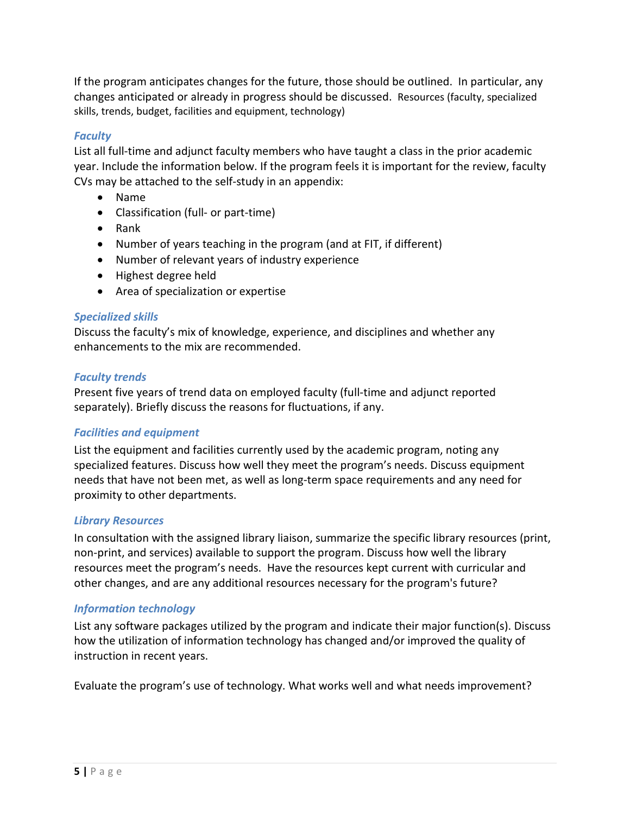If the program anticipates changes for the future, those should be outlined. In particular, any changes anticipated or already in progress should be discussed. Resources (faculty, specialized skills, trends, budget, facilities and equipment, technology)

#### *Faculty*

List all full-time and adjunct faculty members who have taught a class in the prior academic year. Include the information below. If the program feels it is important for the review, faculty CVs may be attached to the self-study in an appendix:

- Name
- Classification (full- or part-time)
- Rank
- Number of years teaching in the program (and at FIT, if different)
- Number of relevant years of industry experience
- Highest degree held
- Area of specialization or expertise

#### *Specialized skills*

Discuss the faculty's mix of knowledge, experience, and disciplines and whether any enhancements to the mix are recommended.

#### *Faculty trends*

Present five years of trend data on employed faculty (full-time and adjunct reported separately). Briefly discuss the reasons for fluctuations, if any.

#### *Facilities and equipment*

List the equipment and facilities currently used by the academic program, noting any specialized features. Discuss how well they meet the program's needs. Discuss equipment needs that have not been met, as well as long-term space requirements and any need for proximity to other departments.

#### *Library Resources*

In consultation with the assigned library liaison, summarize the specific library resources (print, non-print, and services) available to support the program. Discuss how well the library resources meet the program's needs. Have the resources kept current with curricular and other changes, and are any additional resources necessary for the program's future?

#### *Information technology*

List any software packages utilized by the program and indicate their major function(s). Discuss how the utilization of information technology has changed and/or improved the quality of instruction in recent years.

Evaluate the program's use of technology. What works well and what needs improvement?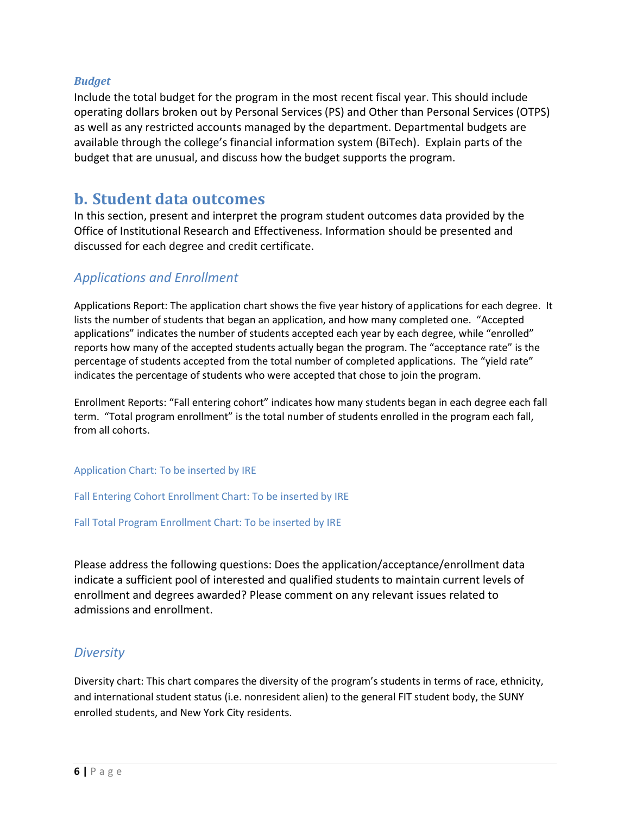#### *Budget*

Include the total budget for the program in the most recent fiscal year. This should include operating dollars broken out by Personal Services (PS) and Other than Personal Services (OTPS) as well as any restricted accounts managed by the department. Departmental budgets are available through the college's financial information system (BiTech). Explain parts of the budget that are unusual, and discuss how the budget supports the program.

## **b. Student data outcomes**

In this section, present and interpret the program student outcomes data provided by the Office of Institutional Research and Effectiveness. Information should be presented and discussed for each degree and credit certificate.

### *Applications and Enrollment*

Applications Report: The application chart shows the five year history of applications for each degree. It lists the number of students that began an application, and how many completed one. "Accepted applications" indicates the number of students accepted each year by each degree, while "enrolled" reports how many of the accepted students actually began the program. The "acceptance rate" is the percentage of students accepted from the total number of completed applications. The "yield rate" indicates the percentage of students who were accepted that chose to join the program.

Enrollment Reports: "Fall entering cohort" indicates how many students began in each degree each fall term. "Total program enrollment" is the total number of students enrolled in the program each fall, from all cohorts.

#### Application Chart: To be inserted by IRE

Fall Entering Cohort Enrollment Chart: To be inserted by IRE

Fall Total Program Enrollment Chart: To be inserted by IRE

Please address the following questions: Does the application/acceptance/enrollment data indicate a sufficient pool of interested and qualified students to maintain current levels of enrollment and degrees awarded? Please comment on any relevant issues related to admissions and enrollment.

#### *Diversity*

Diversity chart: This chart compares the diversity of the program's students in terms of race, ethnicity, and international student status (i.e. nonresident alien) to the general FIT student body, the SUNY enrolled students, and New York City residents.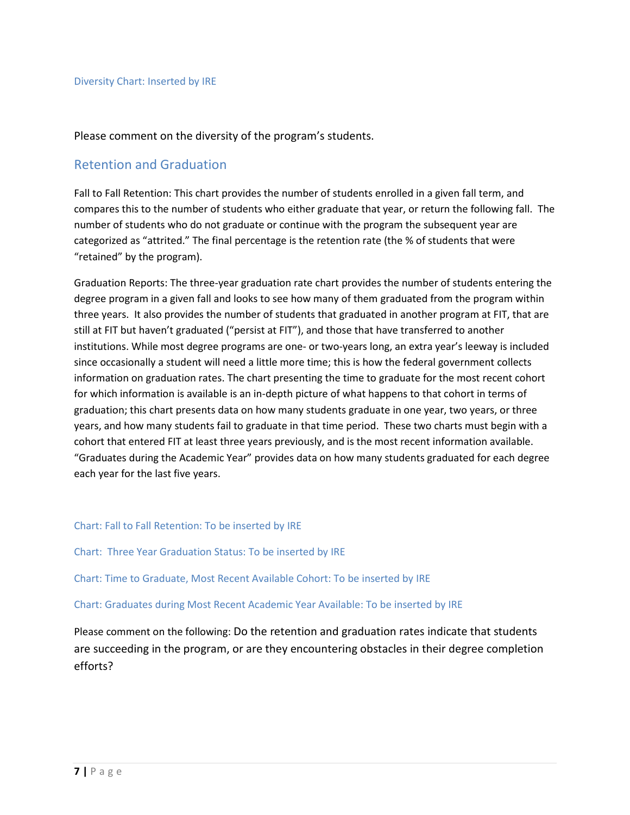Please comment on the diversity of the program's students.

#### Retention and Graduation

Fall to Fall Retention: This chart provides the number of students enrolled in a given fall term, and compares this to the number of students who either graduate that year, or return the following fall. The number of students who do not graduate or continue with the program the subsequent year are categorized as "attrited." The final percentage is the retention rate (the % of students that were "retained" by the program).

Graduation Reports: The three-year graduation rate chart provides the number of students entering the degree program in a given fall and looks to see how many of them graduated from the program within three years. It also provides the number of students that graduated in another program at FIT, that are still at FIT but haven't graduated ("persist at FIT"), and those that have transferred to another institutions. While most degree programs are one- or two-years long, an extra year's leeway is included since occasionally a student will need a little more time; this is how the federal government collects information on graduation rates. The chart presenting the time to graduate for the most recent cohort for which information is available is an in-depth picture of what happens to that cohort in terms of graduation; this chart presents data on how many students graduate in one year, two years, or three years, and how many students fail to graduate in that time period. These two charts must begin with a cohort that entered FIT at least three years previously, and is the most recent information available. "Graduates during the Academic Year" provides data on how many students graduated for each degree each year for the last five years.

#### Chart: Fall to Fall Retention: To be inserted by IRE

Chart: Three Year Graduation Status: To be inserted by IRE

Chart: Time to Graduate, Most Recent Available Cohort: To be inserted by IRE

Chart: Graduates during Most Recent Academic Year Available: To be inserted by IRE

Please comment on the following: Do the retention and graduation rates indicate that students are succeeding in the program, or are they encountering obstacles in their degree completion efforts?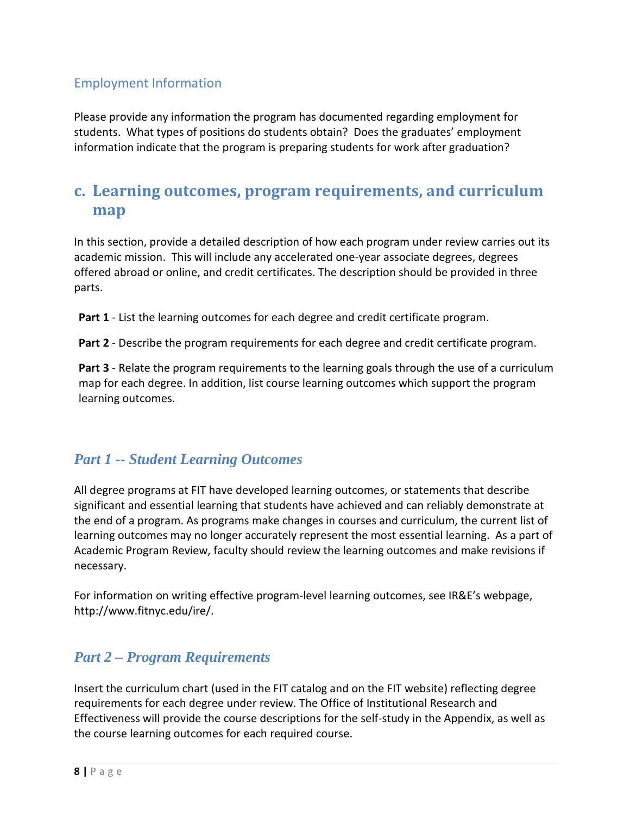### Employment Information

Please provide any information the program has documented regarding employment for students. What types of positions do students obtain? Does the graduates' employment information indicate that the program is preparing students for work after graduation?

## **c. Learning outcomes, program requirements, and curriculum map**

In this section, provide a detailed description of how each program under review carries out its academic mission. This will include any accelerated one-year associate degrees, degrees offered abroad or online, and credit certificates. The description should be provided in three parts.

**Part 1** - List the learning outcomes for each degree and credit certificate program.

**Part 2** - Describe the program requirements for each degree and credit certificate program.

**Part 3** - Relate the program requirements to the learning goals through the use of a curriculum map for each degree. In addition, list course learning outcomes which support the program learning outcomes.

### *Part 1 -- Student Learning Outcomes*

All degree programs at FIT have developed learning outcomes, or statements that describe significant and essential learning that students have achieved and can reliably demonstrate at the end of a program. As programs make changes in courses and curriculum, the current list of learning outcomes may no longer accurately represent the most essential learning. As a part of Academic Program Review, faculty should review the learning outcomes and make revisions if necessary.

For information on writing effective program-level learning outcomes, see IR&E's webpage, http://www.fitnyc.edu/ire/.

### *Part 2 – Program Requirements*

Insert the curriculum chart (used in the FIT catalog and on the FIT website) reflecting degree requirements for each degree under review. The Office of Institutional Research and Effectiveness will provide the course descriptions for the self-study in the Appendix, as well as the course learning outcomes for each required course.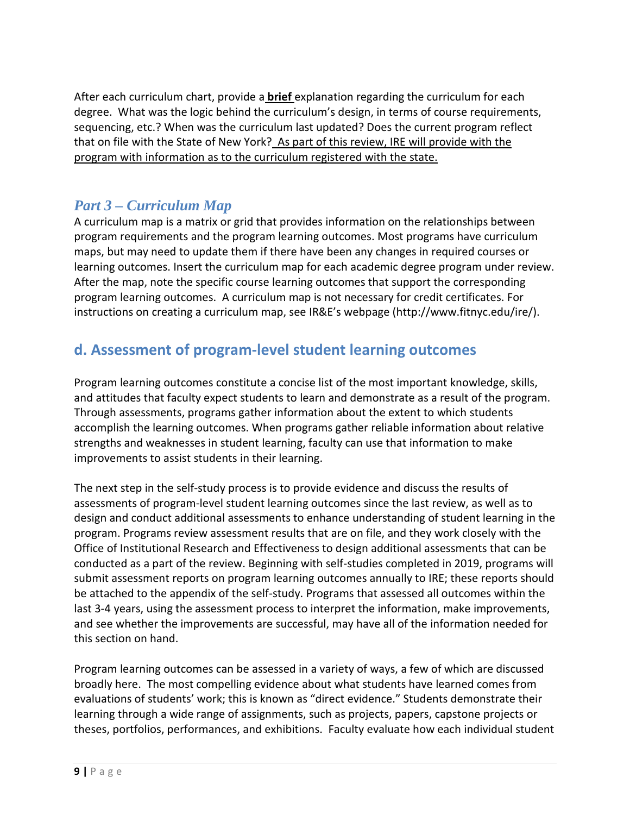After each curriculum chart, provide a **brief** explanation regarding the curriculum for each degree. What was the logic behind the curriculum's design, in terms of course requirements, sequencing, etc.? When was the curriculum last updated? Does the current program reflect that on file with the State of New York? As part of this review, IRE will provide with the program with information as to the curriculum registered with the state.

### *Part 3 – Curriculum Map*

A curriculum map is a matrix or grid that provides information on the relationships between program requirements and the program learning outcomes. Most programs have curriculum maps, but may need to update them if there have been any changes in required courses or learning outcomes. Insert the curriculum map for each academic degree program under review. After the map, note the specific course learning outcomes that support the corresponding program learning outcomes. A curriculum map is not necessary for credit certificates. For instructions on creating a curriculum map, see IR&E's webpage (http://www.fitnyc.edu/ire/).

## **d. Assessment of program-level student learning outcomes**

Program learning outcomes constitute a concise list of the most important knowledge, skills, and attitudes that faculty expect students to learn and demonstrate as a result of the program. Through assessments, programs gather information about the extent to which students accomplish the learning outcomes. When programs gather reliable information about relative strengths and weaknesses in student learning, faculty can use that information to make improvements to assist students in their learning.

The next step in the self-study process is to provide evidence and discuss the results of assessments of program-level student learning outcomes since the last review, as well as to design and conduct additional assessments to enhance understanding of student learning in the program. Programs review assessment results that are on file, and they work closely with the Office of Institutional Research and Effectiveness to design additional assessments that can be conducted as a part of the review. Beginning with self-studies completed in 2019, programs will submit assessment reports on program learning outcomes annually to IRE; these reports should be attached to the appendix of the self-study. Programs that assessed all outcomes within the last 3-4 years, using the assessment process to interpret the information, make improvements, and see whether the improvements are successful, may have all of the information needed for this section on hand.

Program learning outcomes can be assessed in a variety of ways, a few of which are discussed broadly here. The most compelling evidence about what students have learned comes from evaluations of students' work; this is known as "direct evidence." Students demonstrate their learning through a wide range of assignments, such as projects, papers, capstone projects or theses, portfolios, performances, and exhibitions. Faculty evaluate how each individual student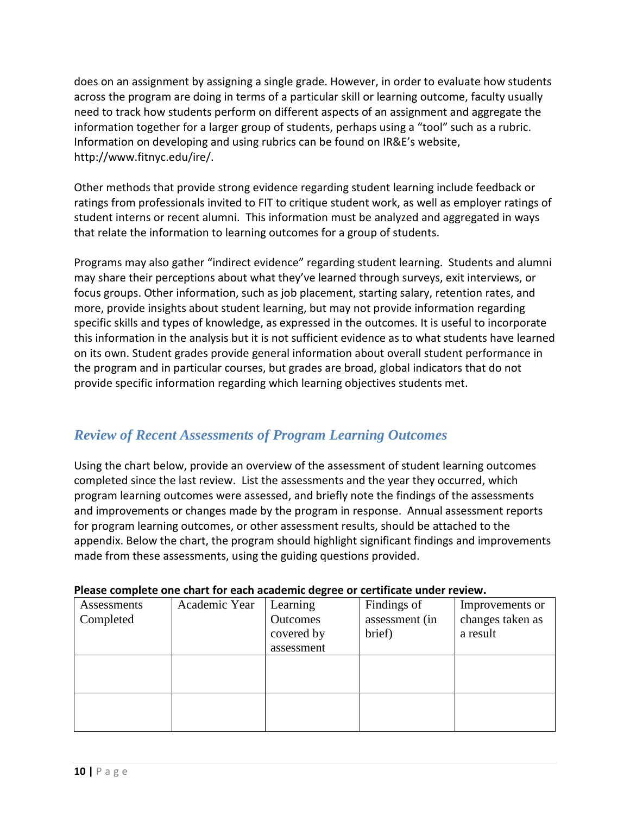does on an assignment by assigning a single grade. However, in order to evaluate how students across the program are doing in terms of a particular skill or learning outcome, faculty usually need to track how students perform on different aspects of an assignment and aggregate the information together for a larger group of students, perhaps using a "tool" such as a rubric. Information on developing and using rubrics can be found on IR&E's website, http://www.fitnyc.edu/ire/.

Other methods that provide strong evidence regarding student learning include feedback or ratings from professionals invited to FIT to critique student work, as well as employer ratings of student interns or recent alumni. This information must be analyzed and aggregated in ways that relate the information to learning outcomes for a group of students.

Programs may also gather "indirect evidence" regarding student learning. Students and alumni may share their perceptions about what they've learned through surveys, exit interviews, or focus groups. Other information, such as job placement, starting salary, retention rates, and more, provide insights about student learning, but may not provide information regarding specific skills and types of knowledge, as expressed in the outcomes. It is useful to incorporate this information in the analysis but it is not sufficient evidence as to what students have learned on its own. Student grades provide general information about overall student performance in the program and in particular courses, but grades are broad, global indicators that do not provide specific information regarding which learning objectives students met.

### *Review of Recent Assessments of Program Learning Outcomes*

Using the chart below, provide an overview of the assessment of student learning outcomes completed since the last review. List the assessments and the year they occurred, which program learning outcomes were assessed, and briefly note the findings of the assessments and improvements or changes made by the program in response. Annual assessment reports for program learning outcomes, or other assessment results, should be attached to the appendix. Below the chart, the program should highlight significant findings and improvements made from these assessments, using the guiding questions provided.

| I ICase complete one chart for cach academic acgree or certificate ander review. |               |                 |                |                  |
|----------------------------------------------------------------------------------|---------------|-----------------|----------------|------------------|
| Assessments                                                                      | Academic Year | Learning        | Findings of    | Improvements or  |
| Completed                                                                        |               | <b>Outcomes</b> | assessment (in | changes taken as |
|                                                                                  |               | covered by      | brief)         | a result         |
|                                                                                  |               | assessment      |                |                  |
|                                                                                  |               |                 |                |                  |
|                                                                                  |               |                 |                |                  |
|                                                                                  |               |                 |                |                  |
|                                                                                  |               |                 |                |                  |
|                                                                                  |               |                 |                |                  |
|                                                                                  |               |                 |                |                  |

#### **Please complete one chart for each academic degree or certificate under review.**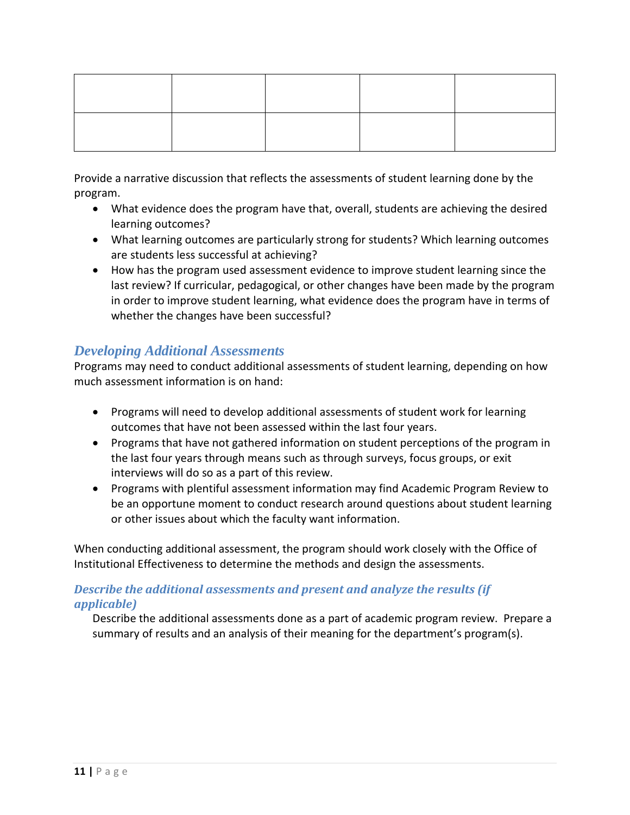Provide a narrative discussion that reflects the assessments of student learning done by the program.

- What evidence does the program have that, overall, students are achieving the desired learning outcomes?
- What learning outcomes are particularly strong for students? Which learning outcomes are students less successful at achieving?
- How has the program used assessment evidence to improve student learning since the last review? If curricular, pedagogical, or other changes have been made by the program in order to improve student learning, what evidence does the program have in terms of whether the changes have been successful?

### *Developing Additional Assessments*

Programs may need to conduct additional assessments of student learning, depending on how much assessment information is on hand:

- Programs will need to develop additional assessments of student work for learning outcomes that have not been assessed within the last four years.
- Programs that have not gathered information on student perceptions of the program in the last four years through means such as through surveys, focus groups, or exit interviews will do so as a part of this review.
- Programs with plentiful assessment information may find Academic Program Review to be an opportune moment to conduct research around questions about student learning or other issues about which the faculty want information.

When conducting additional assessment, the program should work closely with the Office of Institutional Effectiveness to determine the methods and design the assessments.

#### *Describe the additional assessments and present and analyze the results (if applicable)*

Describe the additional assessments done as a part of academic program review. Prepare a summary of results and an analysis of their meaning for the department's program(s).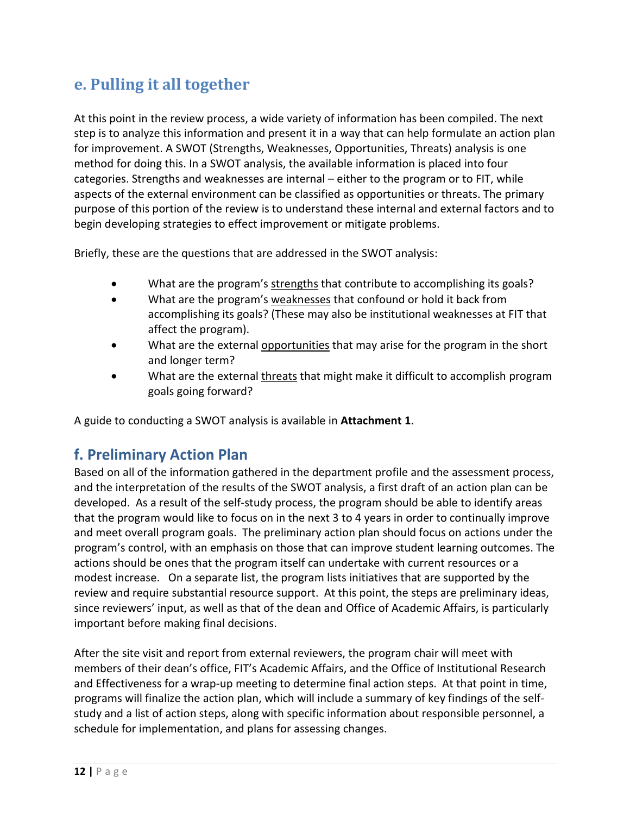## **e. Pulling it all together**

At this point in the review process, a wide variety of information has been compiled. The next step is to analyze this information and present it in a way that can help formulate an action plan for improvement. A SWOT (Strengths, Weaknesses, Opportunities, Threats) analysis is one method for doing this. In a SWOT analysis, the available information is placed into four categories. Strengths and weaknesses are internal – either to the program or to FIT, while aspects of the external environment can be classified as opportunities or threats. The primary purpose of this portion of the review is to understand these internal and external factors and to begin developing strategies to effect improvement or mitigate problems.

Briefly, these are the questions that are addressed in the SWOT analysis:

- What are the program's strengths that contribute to accomplishing its goals?
- What are the program's weaknesses that confound or hold it back from accomplishing its goals? (These may also be institutional weaknesses at FIT that affect the program).
- What are the external opportunities that may arise for the program in the short and longer term?
- What are the external threats that might make it difficult to accomplish program goals going forward?

A guide to conducting a SWOT analysis is available in **Attachment 1**.

## **f. Preliminary Action Plan**

Based on all of the information gathered in the department profile and the assessment process, and the interpretation of the results of the SWOT analysis, a first draft of an action plan can be developed. As a result of the self-study process, the program should be able to identify areas that the program would like to focus on in the next 3 to 4 years in order to continually improve and meet overall program goals. The preliminary action plan should focus on actions under the program's control, with an emphasis on those that can improve student learning outcomes. The actions should be ones that the program itself can undertake with current resources or a modest increase. On a separate list, the program lists initiatives that are supported by the review and require substantial resource support. At this point, the steps are preliminary ideas, since reviewers' input, as well as that of the dean and Office of Academic Affairs, is particularly important before making final decisions.

After the site visit and report from external reviewers, the program chair will meet with members of their dean's office, FIT's Academic Affairs, and the Office of Institutional Research and Effectiveness for a wrap-up meeting to determine final action steps. At that point in time, programs will finalize the action plan, which will include a summary of key findings of the selfstudy and a list of action steps, along with specific information about responsible personnel, a schedule for implementation, and plans for assessing changes.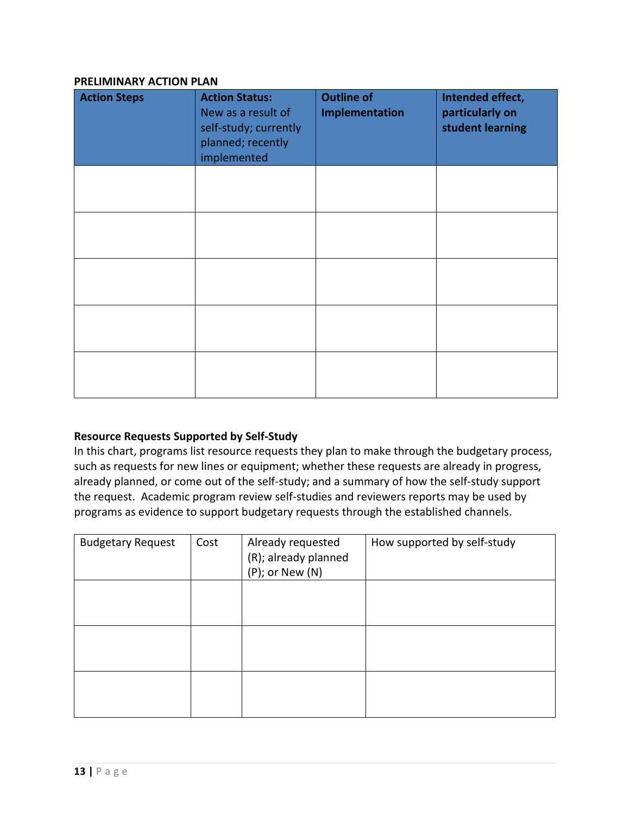#### **PRELIMINARY ACTION PLAN**

| <b>Action Steps</b> | <b>Action Status:</b><br>New as a result of<br>self-study; currently<br>planned; recently<br>implemented | <b>Outline of</b><br>Implementation | Intended effect,<br>particularly on<br>student learning |
|---------------------|----------------------------------------------------------------------------------------------------------|-------------------------------------|---------------------------------------------------------|
|                     |                                                                                                          |                                     |                                                         |
|                     |                                                                                                          |                                     |                                                         |
|                     |                                                                                                          |                                     |                                                         |
|                     |                                                                                                          |                                     |                                                         |
|                     |                                                                                                          |                                     |                                                         |

#### **Resource Requests Supported by Self-Study**

In this chart, programs list resource requests they plan to make through the budgetary process, such as requests for new lines or equipment; whether these requests are already in progress, already planned, or come out of the self-study; and a summary of how the self-study support the request. Academic program review self-studies and reviewers reports may be used by programs as evidence to support budgetary requests through the established channels.

| <b>Budgetary Request</b> | Cost | Already requested<br>(R); already planned<br>$(P)$ ; or New $(N)$ | How supported by self-study |
|--------------------------|------|-------------------------------------------------------------------|-----------------------------|
|                          |      |                                                                   |                             |
|                          |      |                                                                   |                             |
|                          |      |                                                                   |                             |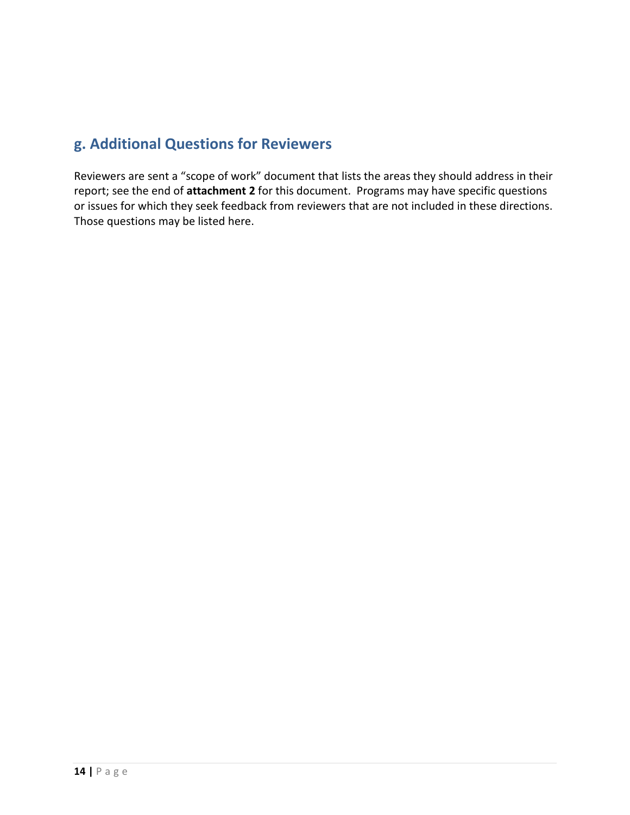## **g. Additional Questions for Reviewers**

Reviewers are sent a "scope of work" document that lists the areas they should address in their report; see the end of **attachment 2** for this document. Programs may have specific questions or issues for which they seek feedback from reviewers that are not included in these directions. Those questions may be listed here.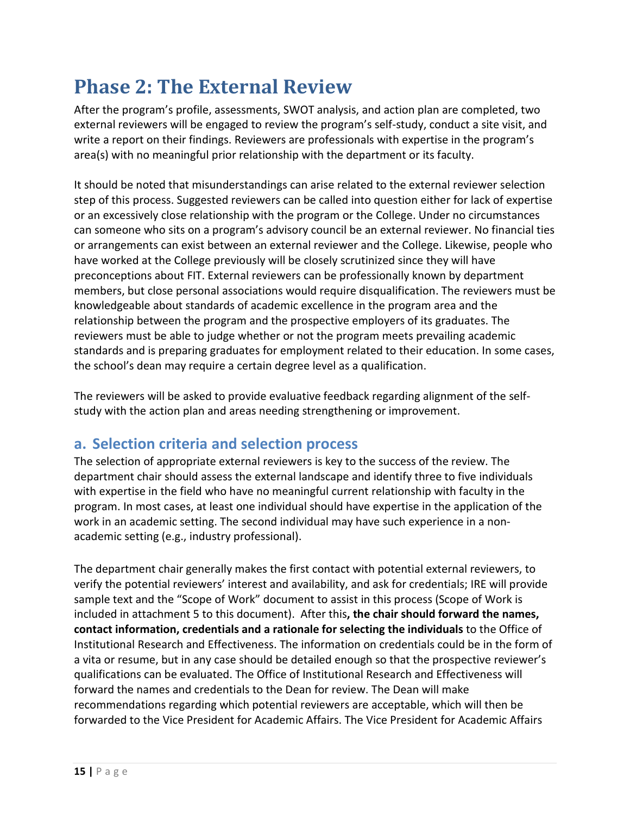# **Phase 2: The External Review**

After the program's profile, assessments, SWOT analysis, and action plan are completed, two external reviewers will be engaged to review the program's self-study, conduct a site visit, and write a report on their findings. Reviewers are professionals with expertise in the program's area(s) with no meaningful prior relationship with the department or its faculty.

It should be noted that misunderstandings can arise related to the external reviewer selection step of this process. Suggested reviewers can be called into question either for lack of expertise or an excessively close relationship with the program or the College. Under no circumstances can someone who sits on a program's advisory council be an external reviewer. No financial ties or arrangements can exist between an external reviewer and the College. Likewise, people who have worked at the College previously will be closely scrutinized since they will have preconceptions about FIT. External reviewers can be professionally known by department members, but close personal associations would require disqualification. The reviewers must be knowledgeable about standards of academic excellence in the program area and the relationship between the program and the prospective employers of its graduates. The reviewers must be able to judge whether or not the program meets prevailing academic standards and is preparing graduates for employment related to their education. In some cases, the school's dean may require a certain degree level as a qualification.

The reviewers will be asked to provide evaluative feedback regarding alignment of the selfstudy with the action plan and areas needing strengthening or improvement.

## **a. Selection criteria and selection process**

The selection of appropriate external reviewers is key to the success of the review. The department chair should assess the external landscape and identify three to five individuals with expertise in the field who have no meaningful current relationship with faculty in the program. In most cases, at least one individual should have expertise in the application of the work in an academic setting. The second individual may have such experience in a nonacademic setting (e.g., industry professional).

The department chair generally makes the first contact with potential external reviewers, to verify the potential reviewers' interest and availability, and ask for credentials; IRE will provide sample text and the "Scope of Work" document to assist in this process (Scope of Work is included in attachment 5 to this document). After this**, the chair should forward the names, contact information, credentials and a rationale for selecting the individuals** to the Office of Institutional Research and Effectiveness. The information on credentials could be in the form of a vita or resume, but in any case should be detailed enough so that the prospective reviewer's qualifications can be evaluated. The Office of Institutional Research and Effectiveness will forward the names and credentials to the Dean for review. The Dean will make recommendations regarding which potential reviewers are acceptable, which will then be forwarded to the Vice President for Academic Affairs. The Vice President for Academic Affairs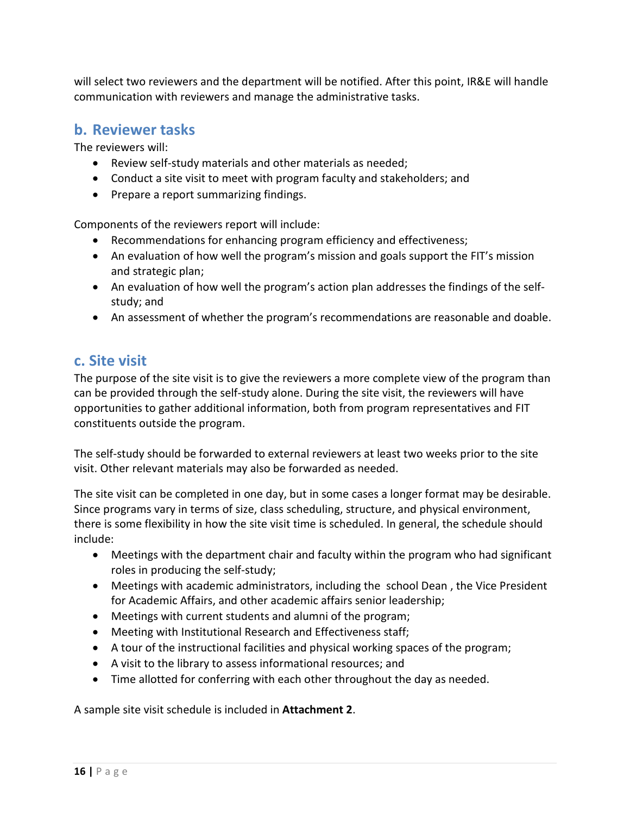will select two reviewers and the department will be notified. After this point, IR&E will handle communication with reviewers and manage the administrative tasks.

### **b. Reviewer tasks**

The reviewers will:

- Review self-study materials and other materials as needed;
- Conduct a site visit to meet with program faculty and stakeholders; and
- Prepare a report summarizing findings.

Components of the reviewers report will include:

- Recommendations for enhancing program efficiency and effectiveness;
- An evaluation of how well the program's mission and goals support the FIT's mission and strategic plan;
- An evaluation of how well the program's action plan addresses the findings of the selfstudy; and
- An assessment of whether the program's recommendations are reasonable and doable.

### **c. Site visit**

The purpose of the site visit is to give the reviewers a more complete view of the program than can be provided through the self-study alone. During the site visit, the reviewers will have opportunities to gather additional information, both from program representatives and FIT constituents outside the program.

The self-study should be forwarded to external reviewers at least two weeks prior to the site visit. Other relevant materials may also be forwarded as needed.

The site visit can be completed in one day, but in some cases a longer format may be desirable. Since programs vary in terms of size, class scheduling, structure, and physical environment, there is some flexibility in how the site visit time is scheduled. In general, the schedule should include:

- Meetings with the department chair and faculty within the program who had significant roles in producing the self-study;
- Meetings with academic administrators, including the school Dean , the Vice President for Academic Affairs, and other academic affairs senior leadership;
- Meetings with current students and alumni of the program;
- Meeting with Institutional Research and Effectiveness staff;
- A tour of the instructional facilities and physical working spaces of the program;
- A visit to the library to assess informational resources; and
- Time allotted for conferring with each other throughout the day as needed.

A sample site visit schedule is included in **Attachment 2**.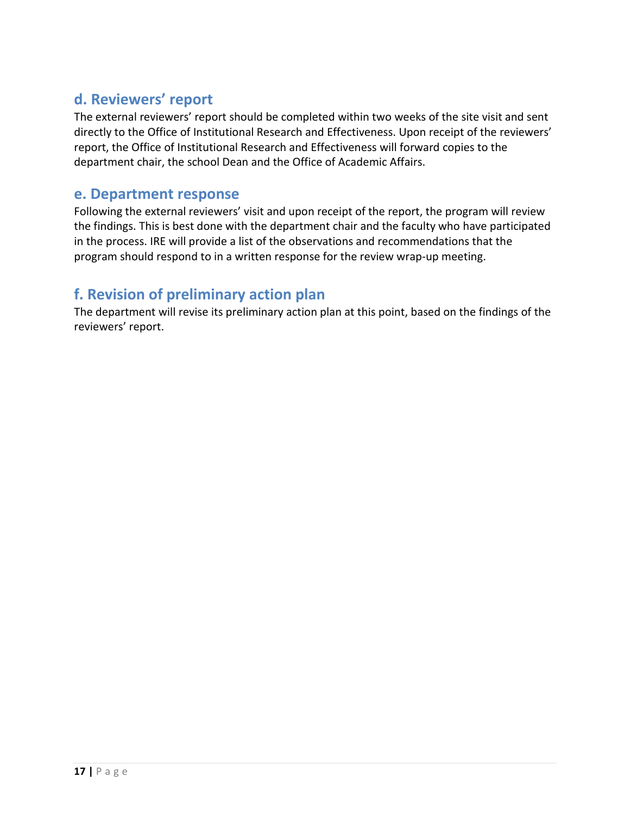## **d. Reviewers' report**

The external reviewers' report should be completed within two weeks of the site visit and sent directly to the Office of Institutional Research and Effectiveness. Upon receipt of the reviewers' report, the Office of Institutional Research and Effectiveness will forward copies to the department chair, the school Dean and the Office of Academic Affairs.

### **e. Department response**

Following the external reviewers' visit and upon receipt of the report, the program will review the findings. This is best done with the department chair and the faculty who have participated in the process. IRE will provide a list of the observations and recommendations that the program should respond to in a written response for the review wrap-up meeting.

## **f. Revision of preliminary action plan**

The department will revise its preliminary action plan at this point, based on the findings of the reviewers' report.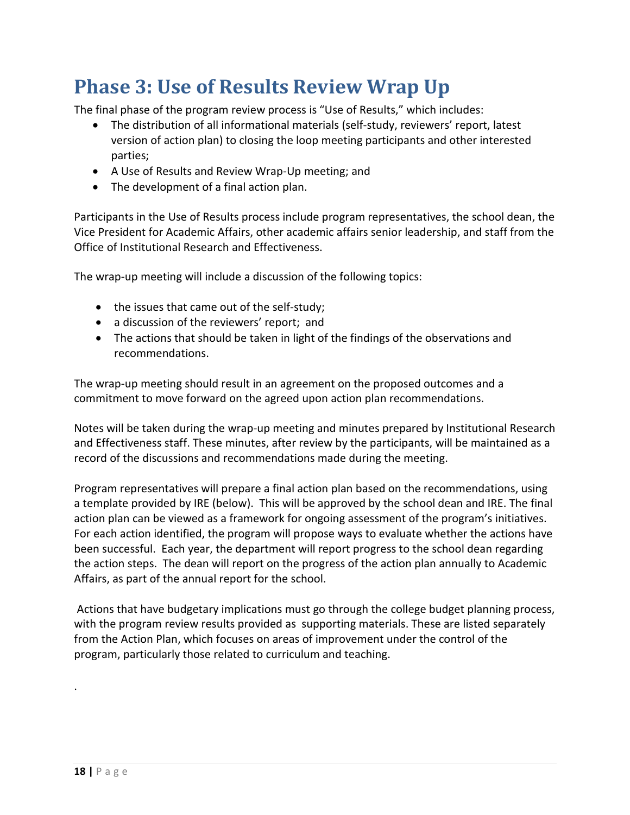# **Phase 3: Use of Results Review Wrap Up**

The final phase of the program review process is "Use of Results," which includes:

- The distribution of all informational materials (self-study, reviewers' report, latest version of action plan) to closing the loop meeting participants and other interested parties;
- A Use of Results and Review Wrap-Up meeting; and
- The development of a final action plan.

Participants in the Use of Results process include program representatives, the school dean, the Vice President for Academic Affairs, other academic affairs senior leadership, and staff from the Office of Institutional Research and Effectiveness.

The wrap-up meeting will include a discussion of the following topics:

- the issues that came out of the self-study;
- a discussion of the reviewers' report; and
- The actions that should be taken in light of the findings of the observations and recommendations.

The wrap-up meeting should result in an agreement on the proposed outcomes and a commitment to move forward on the agreed upon action plan recommendations.

Notes will be taken during the wrap-up meeting and minutes prepared by Institutional Research and Effectiveness staff. These minutes, after review by the participants, will be maintained as a record of the discussions and recommendations made during the meeting.

Program representatives will prepare a final action plan based on the recommendations, using a template provided by IRE (below). This will be approved by the school dean and IRE. The final action plan can be viewed as a framework for ongoing assessment of the program's initiatives. For each action identified, the program will propose ways to evaluate whether the actions have been successful. Each year, the department will report progress to the school dean regarding the action steps. The dean will report on the progress of the action plan annually to Academic Affairs, as part of the annual report for the school.

Actions that have budgetary implications must go through the college budget planning process, with the program review results provided as supporting materials. These are listed separately from the Action Plan, which focuses on areas of improvement under the control of the program, particularly those related to curriculum and teaching.

.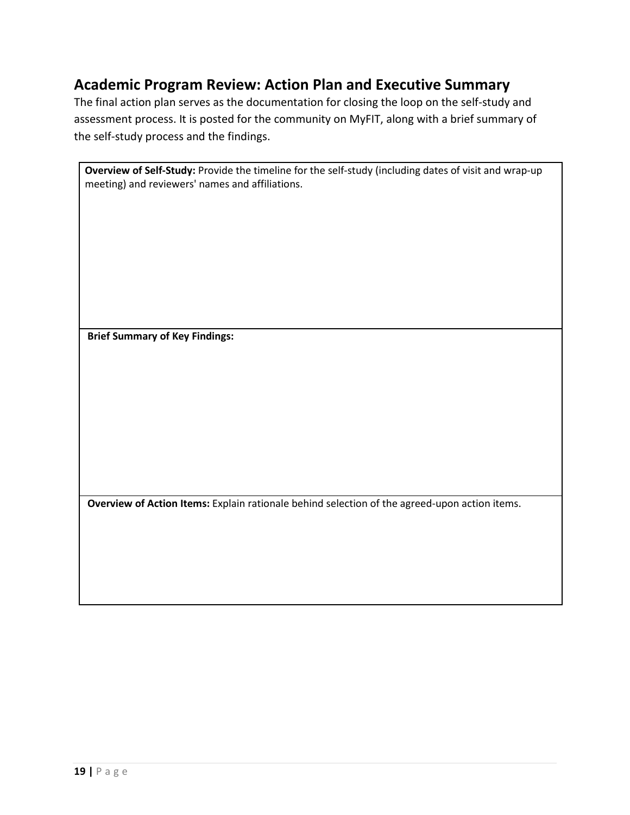## **Academic Program Review: Action Plan and Executive Summary**

The final action plan serves as the documentation for closing the loop on the self-study and assessment process. It is posted for the community on MyFIT, along with a brief summary of the self-study process and the findings.

| <b>Overview of Self-Study:</b> Provide the timeline for the self-study (including dates of visit and wrap-up |
|--------------------------------------------------------------------------------------------------------------|
| meeting) and reviewers' names and affiliations.                                                              |

**Brief Summary of Key Findings:** 

**Overview of Action Items:** Explain rationale behind selection of the agreed-upon action items.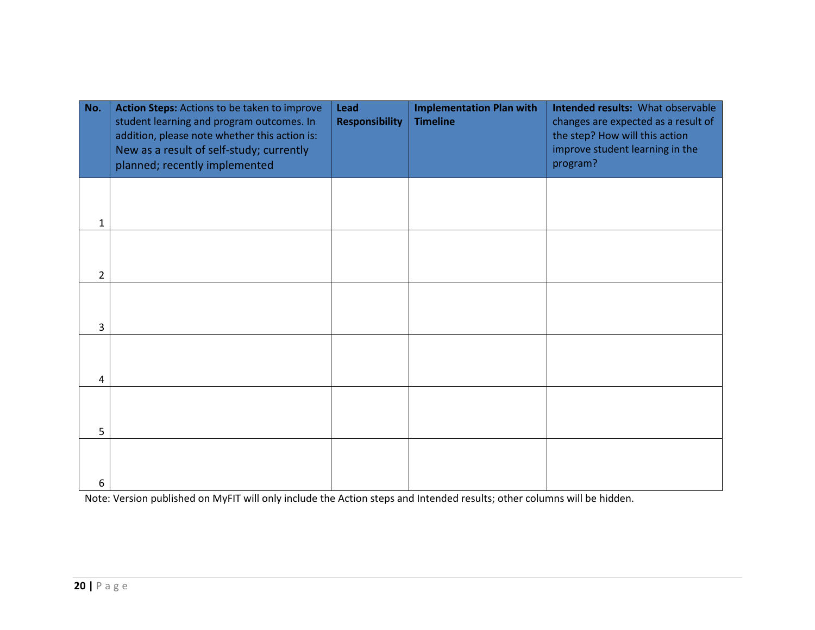| No.            | Action Steps: Actions to be taken to improve<br>student learning and program outcomes. In<br>addition, please note whether this action is:<br>New as a result of self-study; currently<br>planned; recently implemented | Lead<br><b>Responsibility</b> | <b>Implementation Plan with</b><br><b>Timeline</b> | Intended results: What observable<br>changes are expected as a result of<br>the step? How will this action<br>improve student learning in the<br>program? |
|----------------|-------------------------------------------------------------------------------------------------------------------------------------------------------------------------------------------------------------------------|-------------------------------|----------------------------------------------------|-----------------------------------------------------------------------------------------------------------------------------------------------------------|
| 1              |                                                                                                                                                                                                                         |                               |                                                    |                                                                                                                                                           |
| $\overline{2}$ |                                                                                                                                                                                                                         |                               |                                                    |                                                                                                                                                           |
| 3              |                                                                                                                                                                                                                         |                               |                                                    |                                                                                                                                                           |
| 4              |                                                                                                                                                                                                                         |                               |                                                    |                                                                                                                                                           |
| 5              |                                                                                                                                                                                                                         |                               |                                                    |                                                                                                                                                           |
| 6              |                                                                                                                                                                                                                         |                               |                                                    |                                                                                                                                                           |

Note: Version published on MyFIT will only include the Action steps and Intended results; other columns will be hidden.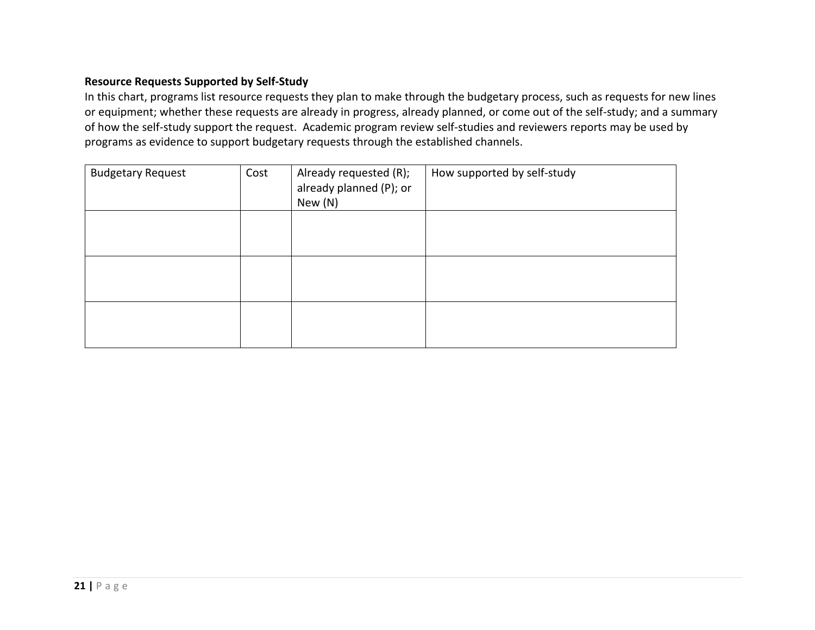#### **Resource Requests Supported by Self-Study**

In this chart, programs list resource requests they plan to make through the budgetary process, such as requests for new lines or equipment; whether these requests are already in progress, already planned, or come out of the self-study; and a summary of how the self-study support the request. Academic program review self-studies and reviewers reports may be used by programs as evidence to support budgetary requests through the established channels.

| <b>Budgetary Request</b> | Cost | Already requested (R);<br>already planned (P); or<br>New (N) | How supported by self-study |
|--------------------------|------|--------------------------------------------------------------|-----------------------------|
|                          |      |                                                              |                             |
|                          |      |                                                              |                             |
|                          |      |                                                              |                             |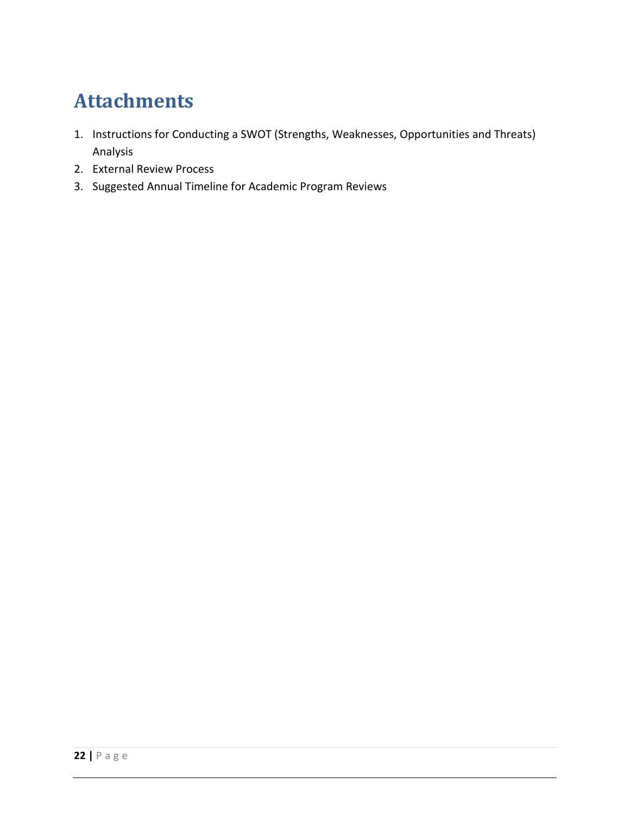# **Attachments**

- 1. Instructions for Conducting a SWOT (Strengths, Weaknesses, Opportunities and Threats) Analysis
- 2. External Review Process
- 3. Suggested Annual Timeline for Academic Program Reviews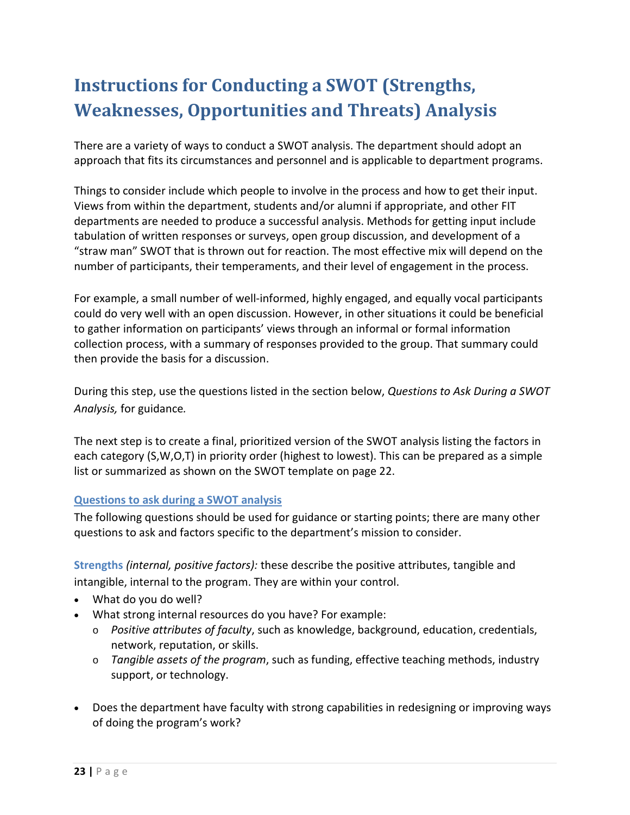# **Instructions for Conducting a SWOT (Strengths, Weaknesses, Opportunities and Threats) Analysis**

There are a variety of ways to conduct a SWOT analysis. The department should adopt an approach that fits its circumstances and personnel and is applicable to department programs.

Things to consider include which people to involve in the process and how to get their input. Views from within the department, students and/or alumni if appropriate, and other FIT departments are needed to produce a successful analysis. Methods for getting input include tabulation of written responses or surveys, open group discussion, and development of a "straw man" SWOT that is thrown out for reaction. The most effective mix will depend on the number of participants, their temperaments, and their level of engagement in the process.

For example, a small number of well-informed, highly engaged, and equally vocal participants could do very well with an open discussion. However, in other situations it could be beneficial to gather information on participants' views through an informal or formal information collection process, with a summary of responses provided to the group. That summary could then provide the basis for a discussion.

During this step, use the questions listed in the section below, *Questions to Ask During a SWOT Analysis,* for guidance*.* 

The next step is to create a final, prioritized version of the SWOT analysis listing the factors in each category (S,W,O,T) in priority order (highest to lowest). This can be prepared as a simple list or summarized as shown on the SWOT template on page 22.

#### **Questions to ask during a SWOT analysis**

The following questions should be used for guidance or starting points; there are many other questions to ask and factors specific to the department's mission to consider.

**Strengths** *(internal, positive factors):* these describe the positive attributes, tangible and intangible, internal to the program. They are within your control.

- What do you do well?
- What strong internal resources do you have? For example:
	- o *Positive attributes of faculty*, such as knowledge, background, education, credentials, network, reputation, or skills.
	- o *Tangible assets of the program*, such as funding, effective teaching methods, industry support, or technology.
- Does the department have faculty with strong capabilities in redesigning or improving ways of doing the program's work?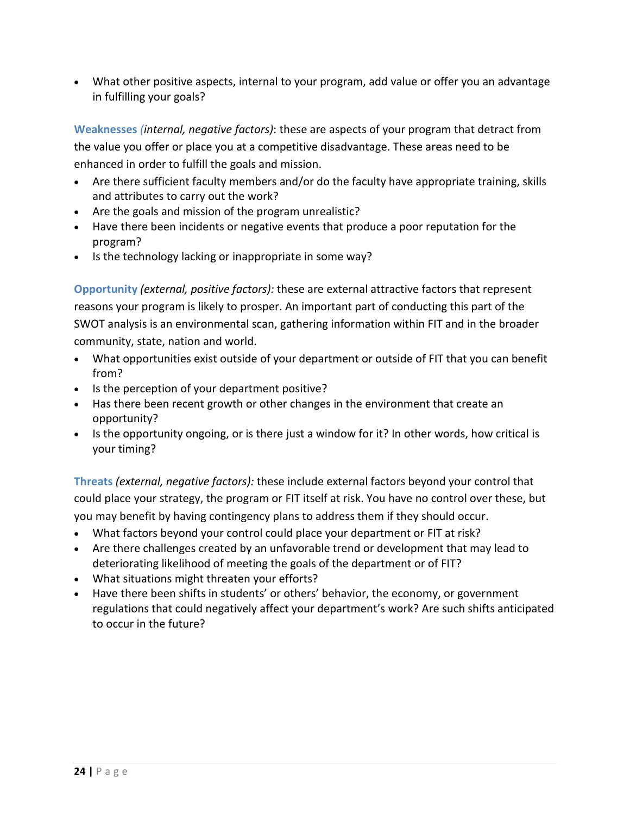• What other positive aspects, internal to your program, add value or offer you an advantage in fulfilling your goals?

**Weaknesses** *(internal, negative factors)*: these are aspects of your program that detract from the value you offer or place you at a competitive disadvantage. These areas need to be enhanced in order to fulfill the goals and mission.

- Are there sufficient faculty members and/or do the faculty have appropriate training, skills and attributes to carry out the work?
- Are the goals and mission of the program unrealistic?
- Have there been incidents or negative events that produce a poor reputation for the program?
- Is the technology lacking or inappropriate in some way?

**Opportunity** *(external, positive factors):* these are external attractive factors that represent reasons your program is likely to prosper. An important part of conducting this part of the SWOT analysis is an environmental scan, gathering information within FIT and in the broader community, state, nation and world.

- What opportunities exist outside of your department or outside of FIT that you can benefit from?
- Is the perception of your department positive?
- Has there been recent growth or other changes in the environment that create an opportunity?
- Is the opportunity ongoing, or is there just a window for it? In other words, how critical is your timing?

**Threats** *(external, negative factors):* these include external factors beyond your control that could place your strategy, the program or FIT itself at risk. You have no control over these, but you may benefit by having contingency plans to address them if they should occur.

- What factors beyond your control could place your department or FIT at risk?
- Are there challenges created by an unfavorable trend or development that may lead to deteriorating likelihood of meeting the goals of the department or of FIT?
- What situations might threaten your efforts?
- Have there been shifts in students' or others' behavior, the economy, or government regulations that could negatively affect your department's work? Are such shifts anticipated to occur in the future?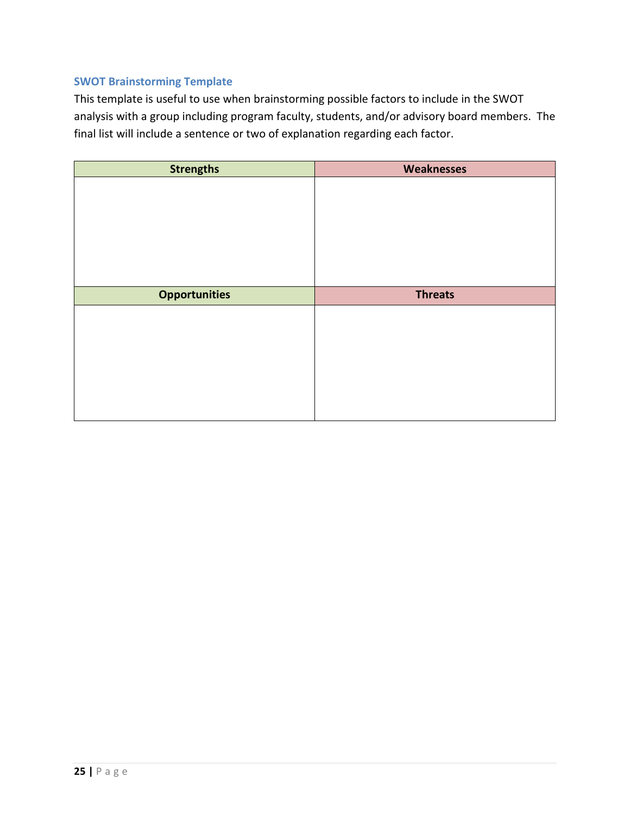#### **SWOT Brainstorming Template**

This template is useful to use when brainstorming possible factors to include in the SWOT analysis with a group including program faculty, students, and/or advisory board members. The final list will include a sentence or two of explanation regarding each factor.

| <b>Strengths</b>     | <b>Weaknesses</b> |
|----------------------|-------------------|
|                      |                   |
|                      |                   |
|                      |                   |
|                      |                   |
|                      |                   |
|                      |                   |
| <b>Opportunities</b> | <b>Threats</b>    |
|                      |                   |
|                      |                   |
|                      |                   |
|                      |                   |
|                      |                   |
|                      |                   |
|                      |                   |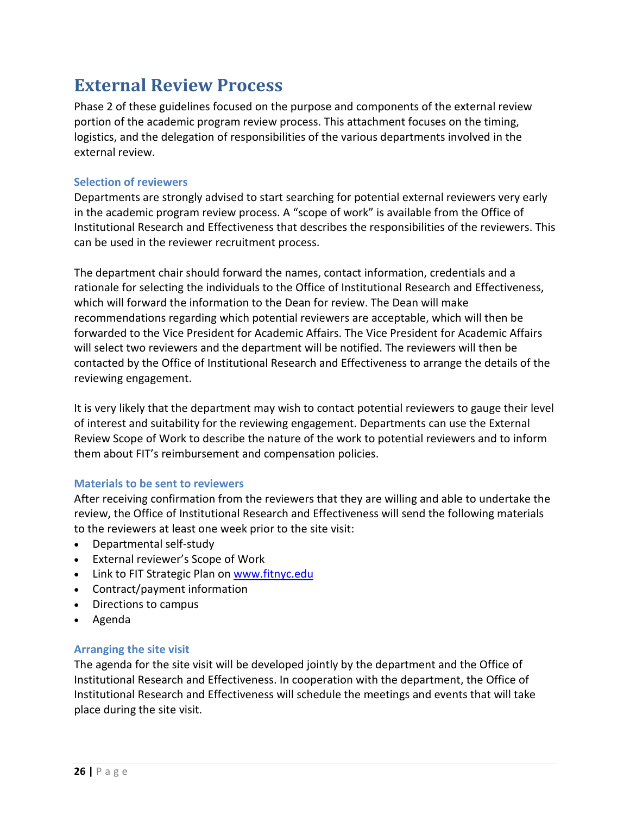## **External Review Process**

Phase 2 of these guidelines focused on the purpose and components of the external review portion of the academic program review process. This attachment focuses on the timing, logistics, and the delegation of responsibilities of the various departments involved in the external review.

#### **Selection of reviewers**

Departments are strongly advised to start searching for potential external reviewers very early in the academic program review process. A "scope of work" is available from the Office of Institutional Research and Effectiveness that describes the responsibilities of the reviewers. This can be used in the reviewer recruitment process.

The department chair should forward the names, contact information, credentials and a rationale for selecting the individuals to the Office of Institutional Research and Effectiveness, which will forward the information to the Dean for review. The Dean will make recommendations regarding which potential reviewers are acceptable, which will then be forwarded to the Vice President for Academic Affairs. The Vice President for Academic Affairs will select two reviewers and the department will be notified. The reviewers will then be contacted by the Office of Institutional Research and Effectiveness to arrange the details of the reviewing engagement.

It is very likely that the department may wish to contact potential reviewers to gauge their level of interest and suitability for the reviewing engagement. Departments can use the External Review Scope of Work to describe the nature of the work to potential reviewers and to inform them about FIT's reimbursement and compensation policies.

#### **Materials to be sent to reviewers**

After receiving confirmation from the reviewers that they are willing and able to undertake the review, the Office of Institutional Research and Effectiveness will send the following materials to the reviewers at least one week prior to the site visit:

- Departmental self-study
- External reviewer's Scope of Work
- Link to FIT Strategic Plan on [www.fitnyc.edu](http://www.fitnyc.edu/)
- Contract/payment information
- Directions to campus
- Agenda

#### **Arranging the site visit**

The agenda for the site visit will be developed jointly by the department and the Office of Institutional Research and Effectiveness. In cooperation with the department, the Office of Institutional Research and Effectiveness will schedule the meetings and events that will take place during the site visit.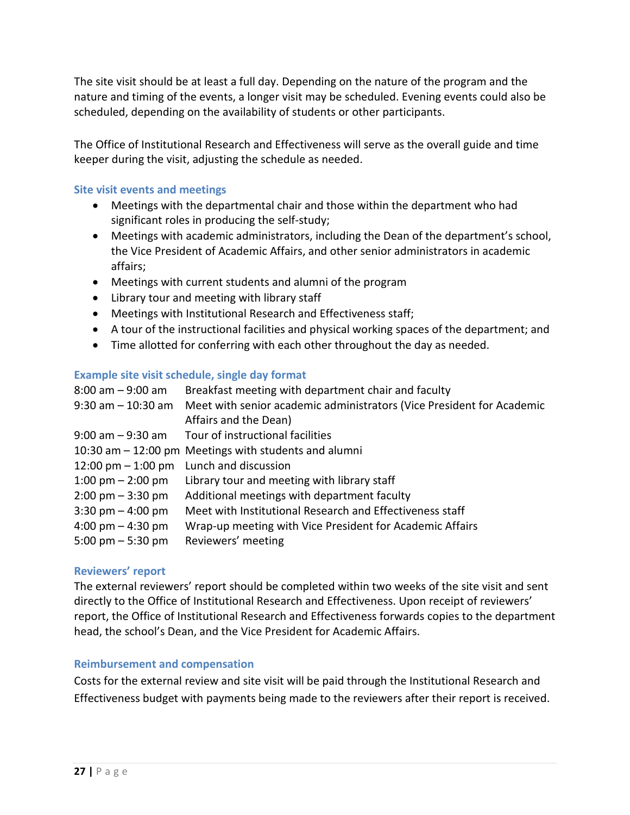The site visit should be at least a full day. Depending on the nature of the program and the nature and timing of the events, a longer visit may be scheduled. Evening events could also be scheduled, depending on the availability of students or other participants.

The Office of Institutional Research and Effectiveness will serve as the overall guide and time keeper during the visit, adjusting the schedule as needed.

#### **Site visit events and meetings**

- Meetings with the departmental chair and those within the department who had significant roles in producing the self-study;
- Meetings with academic administrators, including the Dean of the department's school, the Vice President of Academic Affairs, and other senior administrators in academic affairs;
- Meetings with current students and alumni of the program
- Library tour and meeting with library staff
- Meetings with Institutional Research and Effectiveness staff;
- A tour of the instructional facilities and physical working spaces of the department; and
- Time allotted for conferring with each other throughout the day as needed.

#### **Example site visit schedule, single day format**

| 8:00 am - 9:00 am                   | Breakfast meeting with department chair and faculty                   |
|-------------------------------------|-----------------------------------------------------------------------|
| 9:30 am - 10:30 am                  | Meet with senior academic administrators (Vice President for Academic |
|                                     | Affairs and the Dean)                                                 |
| 9:00 am – 9:30 am                   | Tour of instructional facilities                                      |
|                                     | 10:30 am – 12:00 pm Meetings with students and alumni                 |
| 12:00 pm $-$ 1:00 pm                | Lunch and discussion                                                  |
| 1:00 pm $-$ 2:00 pm                 | Library tour and meeting with library staff                           |
| $2:00 \text{ pm} - 3:30 \text{ pm}$ | Additional meetings with department faculty                           |
| $3:30 \text{ pm} - 4:00 \text{ pm}$ | Meet with Institutional Research and Effectiveness staff              |
| 4:00 pm $-$ 4:30 pm                 | Wrap-up meeting with Vice President for Academic Affairs              |
| 5:00 pm $-$ 5:30 pm                 | Reviewers' meeting                                                    |

#### **Reviewers' report**

The external reviewers' report should be completed within two weeks of the site visit and sent directly to the Office of Institutional Research and Effectiveness. Upon receipt of reviewers' report, the Office of Institutional Research and Effectiveness forwards copies to the department head, the school's Dean, and the Vice President for Academic Affairs.

#### **Reimbursement and compensation**

Costs for the external review and site visit will be paid through the Institutional Research and Effectiveness budget with payments being made to the reviewers after their report is received.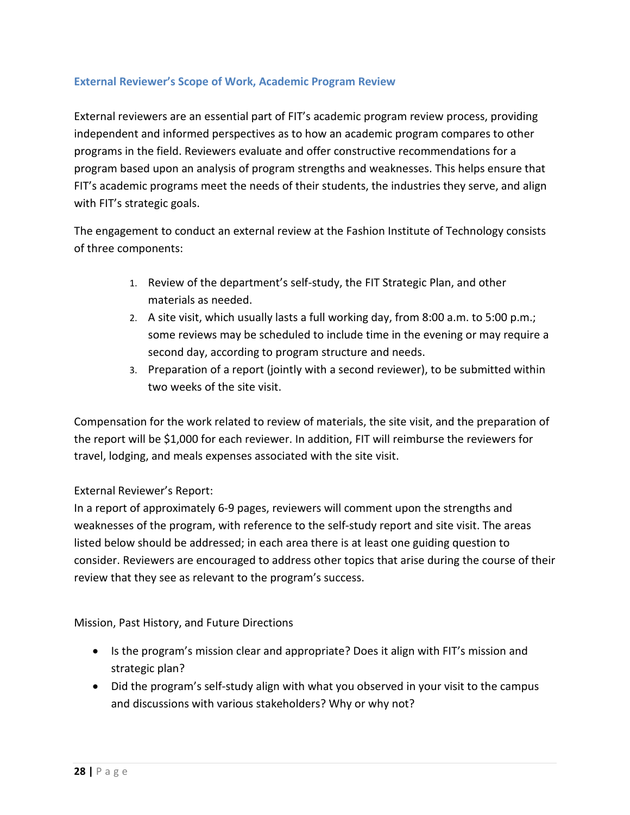#### **External Reviewer's Scope of Work, Academic Program Review**

External reviewers are an essential part of FIT's academic program review process, providing independent and informed perspectives as to how an academic program compares to other programs in the field. Reviewers evaluate and offer constructive recommendations for a program based upon an analysis of program strengths and weaknesses. This helps ensure that FIT's academic programs meet the needs of their students, the industries they serve, and align with FIT's strategic goals.

The engagement to conduct an external review at the Fashion Institute of Technology consists of three components:

- 1. Review of the department's self-study, the FIT Strategic Plan, and other materials as needed.
- 2. A site visit, which usually lasts a full working day, from 8:00 a.m. to 5:00 p.m.; some reviews may be scheduled to include time in the evening or may require a second day, according to program structure and needs.
- 3. Preparation of a report (jointly with a second reviewer), to be submitted within two weeks of the site visit.

Compensation for the work related to review of materials, the site visit, and the preparation of the report will be \$1,000 for each reviewer. In addition, FIT will reimburse the reviewers for travel, lodging, and meals expenses associated with the site visit.

#### External Reviewer's Report:

In a report of approximately 6-9 pages, reviewers will comment upon the strengths and weaknesses of the program, with reference to the self-study report and site visit. The areas listed below should be addressed; in each area there is at least one guiding question to consider. Reviewers are encouraged to address other topics that arise during the course of their review that they see as relevant to the program's success.

#### Mission, Past History, and Future Directions

- Is the program's mission clear and appropriate? Does it align with FIT's mission and strategic plan?
- Did the program's self-study align with what you observed in your visit to the campus and discussions with various stakeholders? Why or why not?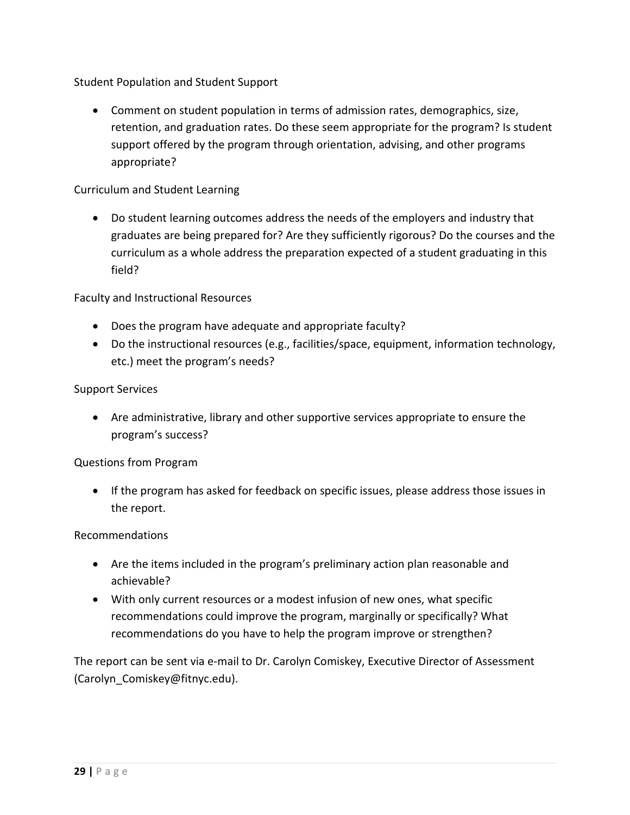Student Population and Student Support

• Comment on student population in terms of admission rates, demographics, size, retention, and graduation rates. Do these seem appropriate for the program? Is student support offered by the program through orientation, advising, and other programs appropriate?

#### Curriculum and Student Learning

• Do student learning outcomes address the needs of the employers and industry that graduates are being prepared for? Are they sufficiently rigorous? Do the courses and the curriculum as a whole address the preparation expected of a student graduating in this field?

Faculty and Instructional Resources

- Does the program have adequate and appropriate faculty?
- Do the instructional resources (e.g., facilities/space, equipment, information technology, etc.) meet the program's needs?

#### Support Services

• Are administrative, library and other supportive services appropriate to ensure the program's success?

#### Questions from Program

• If the program has asked for feedback on specific issues, please address those issues in the report.

#### Recommendations

- Are the items included in the program's preliminary action plan reasonable and achievable?
- With only current resources or a modest infusion of new ones, what specific recommendations could improve the program, marginally or specifically? What recommendations do you have to help the program improve or strengthen?

The report can be sent via e-mail to Dr. Carolyn Comiskey, Executive Director of Assessment (Carolyn\_Comiskey@fitnyc.edu).